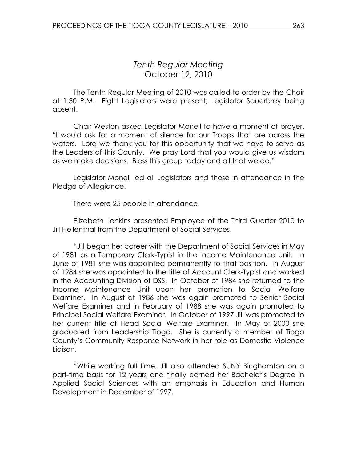# Tenth Regular Meeting October 12, 2010

 The Tenth Regular Meeting of 2010 was called to order by the Chair at 1:30 P.M. Eight Legislators were present, Legislator Sauerbrey being absent.

 Chair Weston asked Legislator Monell to have a moment of prayer. "I would ask for a moment of silence for our Troops that are across the waters. Lord we thank you for this opportunity that we have to serve as the Leaders of this County. We pray Lord that you would give us wisdom as we make decisions. Bless this group today and all that we do."

 Legislator Monell led all Legislators and those in attendance in the Pledge of Allegiance.

There were 25 people in attendance.

Elizabeth Jenkins presented Employee of the Third Quarter 2010 to Jill Hellenthal from the Department of Social Services.

 "Jill began her career with the Department of Social Services in May of 1981 as a Temporary Clerk-Typist in the Income Maintenance Unit. In June of 1981 she was appointed permanently to that position. In August of 1984 she was appointed to the title of Account Clerk-Typist and worked in the Accounting Division of DSS. In October of 1984 she returned to the Income Maintenance Unit upon her promotion to Social Welfare Examiner. In August of 1986 she was again promoted to Senior Social Welfare Examiner and in February of 1988 she was again promoted to Principal Social Welfare Examiner. In October of 1997 Jill was promoted to her current title of Head Social Welfare Examiner. In May of 2000 she graduated from Leadership Tioga. She is currently a member of Tioga County's Community Response Network in her role as Domestic Violence Liaison.

 "While working full time, Jill also attended SUNY Binghamton on a part-time basis for 12 years and finally earned her Bachelor's Degree in Applied Social Sciences with an emphasis in Education and Human Development in December of 1997.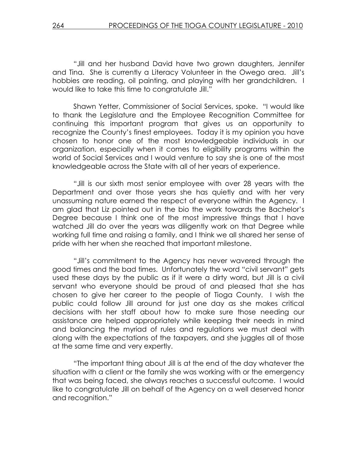"Jill and her husband David have two grown daughters, Jennifer and Tina. She is currently a Literacy Volunteer in the Owego area. Jill's hobbies are reading, oil painting, and playing with her grandchildren. I would like to take this time to congratulate Jill."

 Shawn Yetter, Commissioner of Social Services, spoke. "I would like to thank the Legislature and the Employee Recognition Committee for continuing this important program that gives us an opportunity to recognize the County's finest employees. Today it is my opinion you have chosen to honor one of the most knowledgeable individuals in our organization, especially when it comes to eligibility programs within the world of Social Services and I would venture to say she is one of the most knowledgeable across the State with all of her years of experience.

 "Jill is our sixth most senior employee with over 28 years with the Department and over those years she has quietly and with her very unassuming nature earned the respect of everyone within the Agency. I am glad that Liz pointed out in the bio the work towards the Bachelor's Degree because I think one of the most impressive things that I have watched Jill do over the years was diligently work on that Degree while working full time and raising a family, and I think we all shared her sense of pride with her when she reached that important milestone.

 "Jill's commitment to the Agency has never wavered through the good times and the bad times. Unfortunately the word "civil servant" gets used these days by the public as if it were a dirty word, but Jill is a civil servant who everyone should be proud of and pleased that she has chosen to give her career to the people of Tioga County. I wish the public could follow Jill around for just one day as she makes critical decisions with her staff about how to make sure those needing our assistance are helped appropriately while keeping their needs in mind and balancing the myriad of rules and regulations we must deal with along with the expectations of the taxpayers, and she juggles all of those at the same time and very expertly.

 "The important thing about Jill is at the end of the day whatever the situation with a client or the family she was working with or the emergency that was being faced, she always reaches a successful outcome. I would like to congratulate Jill on behalf of the Agency on a well deserved honor and recognition."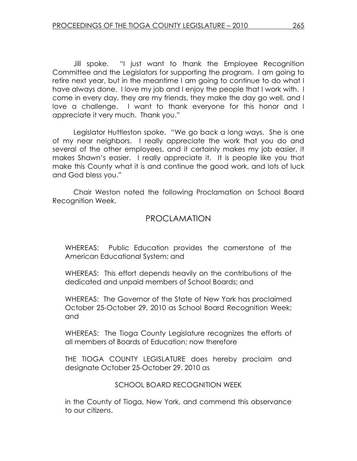Jill spoke. "I just want to thank the Employee Recognition Committee and the Legislators for supporting the program. I am going to retire next year, but in the meantime I am going to continue to do what I have always done. I love my job and I enjoy the people that I work with. I come in every day, they are my friends, they make the day go well, and I love a challenge. I want to thank everyone for this honor and I appreciate it very much. Thank you."

 Legislator Huttleston spoke. "We go back a long ways. She is one of my near neighbors. I really appreciate the work that you do and several of the other employees, and it certainly makes my job easier, it makes Shawn's easier. I really appreciate it. It is people like you that make this County what it is and continue the good work, and lots of luck and God bless you."

 Chair Weston noted the following Proclamation on School Board Recognition Week.

# PROCLAMATION

WHEREAS: Public Education provides the cornerstone of the American Educational System; and

WHEREAS: This effort depends heavily on the contributions of the dedicated and unpaid members of School Boards; and

WHEREAS: The Governor of the State of New York has proclaimed October 25-October 29, 2010 as School Board Recognition Week; and

WHEREAS: The Tioga County Legislature recognizes the efforts of all members of Boards of Education; now therefore

THE TIOGA COUNTY LEGISLATURE does hereby proclaim and designate October 25-October 29, 2010 as

### SCHOOL BOARD RECOGNITION WEEK

in the County of Tioga, New York, and commend this observance to our citizens.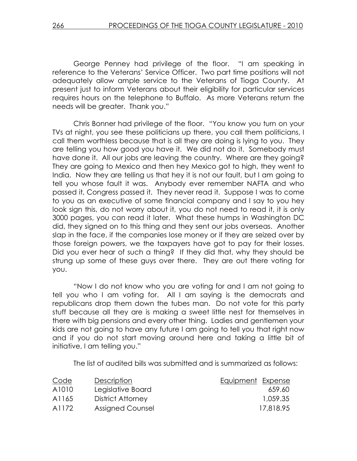George Penney had privilege of the floor. "I am speaking in reference to the Veterans' Service Officer. Two part time positions will not adequately allow ample service to the Veterans of Tioga County. At present just to inform Veterans about their eligibility for particular services requires hours on the telephone to Buffalo. As more Veterans return the needs will be greater. Thank you."

 Chris Bonner had privilege of the floor. "You know you turn on your TVs at night, you see these politicians up there, you call them politicians, I call them worthless because that is all they are doing is lying to you. They are telling you how good you have it. We did not do it. Somebody must have done it. All our jobs are leaving the country. Where are they going? They are going to Mexico and then hey Mexico got to high, they went to India. Now they are telling us that hey it is not our fault, but I am going to tell you whose fault it was. Anybody ever remember NAFTA and who passed it, Congress passed it. They never read it. Suppose I was to come to you as an executive of some financial company and I say to you hey look sign this, do not worry about it, you do not need to read it, it is only 3000 pages, you can read it later. What these humps in Washington DC did, they signed on to this thing and they sent our jobs overseas. Another slap in the face, if the companies lose money or if they are seized over by those foreign powers, we the taxpayers have got to pay for their losses. Did you ever hear of such a thing? If they did that, why they should be strung up some of these guys over there. They are out there voting for you.

 "Now I do not know who you are voting for and I am not going to tell you who I am voting for. All I am saying is the democrats and republicans drop them down the tubes man. Do not vote for this party stuff because all they are is making a sweet little nest for themselves in there with big pensions and every other thing. Ladies and gentlemen your kids are not going to have any future I am going to tell you that right now and if you do not start moving around here and taking a little bit of initiative, I am telling you."

The list of audited bills was submitted and is summarized as follows:

| Code  | Description       | Equipment Expense |
|-------|-------------------|-------------------|
| A1010 | Legislative Board | 659.60            |
| A1165 | District Attorney | 1.059.35          |
| A1172 | Assigned Counsel  | 17,818.95         |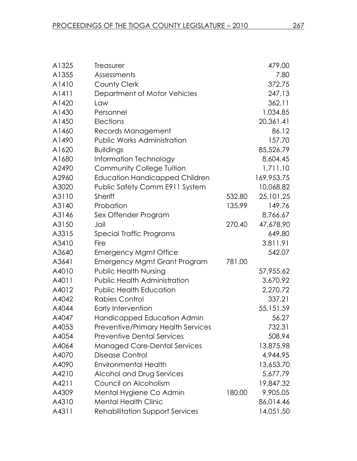| A1325 | Treasurer                                 |        | 479.00     |
|-------|-------------------------------------------|--------|------------|
| A1355 | Assessments                               |        | 7.80       |
| A1410 | <b>County Clerk</b>                       |        | 372.75     |
| A1411 | Department of Motor Vehicles              |        | 247.13     |
| A1420 | Law                                       |        | 362.11     |
| A1430 | Personnel                                 |        | 1,034.85   |
| A1450 | Elections                                 |        | 20,361.41  |
| A1460 | Records Management                        |        | 86.12      |
| A1490 | Public Works Administration               |        | 157.70     |
| A1620 | <b>Buildings</b>                          |        | 85,526.79  |
| A1680 | Information Technology                    |        | 8,604.45   |
| A2490 | <b>Community College Tuition</b>          |        | 1,711.10   |
| A2960 | <b>Education Handicapped Children</b>     |        | 169,953.75 |
| A3020 | Public Safety Comm E911 System            |        | 10,068.82  |
| A3110 | <b>Sheriff</b>                            | 532.80 | 25, 101.25 |
| A3140 | Probation                                 | 135.99 | 149.76     |
| A3146 | Sex Offender Program                      |        | 8,766.67   |
| A3150 | Jail                                      | 270.40 | 47,678.90  |
| A3315 | Special Traffic Programs                  |        | 649.80     |
| A3410 | Fire                                      |        | 3,811.91   |
| A3640 | <b>Emergency Mgmt Office</b>              |        | 542.07     |
| A3641 | <b>Emergency Mgmt Grant Program</b>       | 781.00 |            |
| A4010 | <b>Public Health Nursing</b>              |        | 57,955.62  |
| A4011 | <b>Public Health Administration</b>       |        | 3,670.92   |
| A4012 | <b>Public Health Education</b>            |        | 2,270.72   |
| A4042 | <b>Rabies Control</b>                     |        | 337.21     |
| A4044 | Early Intervention                        |        | 55, 151.59 |
| A4047 | Handicapped Education Admin               |        | 56.27      |
| A4053 | <b>Preventive/Primary Health Services</b> |        | 732.31     |
| A4054 | <b>Preventive Dental Services</b>         |        | 508.94     |
| A4064 | <b>Managed Care-Dental Services</b>       |        | 13,875.98  |
| A4070 | Disease Control                           |        | 4,944.95   |
| A4090 | <b>Environmental Health</b>               |        | 13,653.70  |
| A4210 | Alcohol and Drug Services                 |        | 5,677.79   |
| A4211 | Council on Alcoholism                     |        | 19,847.32  |
| A4309 | Mental Hygiene Co Admin                   | 180.00 | 9,905.05   |
| A4310 | <b>Mental Health Clinic</b>               |        | 86,014.46  |
| A4311 | <b>Rehabilitation Support Services</b>    |        | 14,051.50  |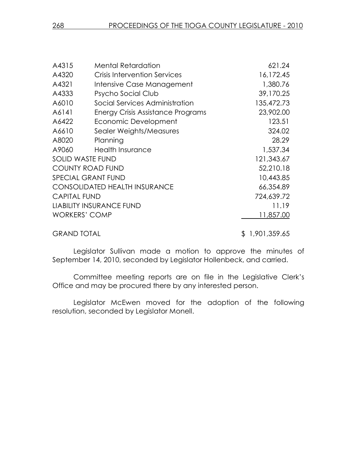| Mental Retardation                   | 621.24     |  |
|--------------------------------------|------------|--|
| <b>Crisis Intervention Services</b>  | 16,172.45  |  |
| Intensive Case Management            | 1,380.76   |  |
| Psycho Social Club                   | 39,170.25  |  |
| Social Services Administration       | 135,472.73 |  |
| Energy Crisis Assistance Programs    | 23,902.00  |  |
| Economic Development                 | 123.51     |  |
| Sealer Weights/Measures              | 324.02     |  |
| Planning                             | 28.29      |  |
| <b>Health Insurance</b>              | 1,537.34   |  |
| <b>SOLID WASTE FUND</b>              |            |  |
| <b>COUNTY ROAD FUND</b>              | 52,210.18  |  |
| <b>SPECIAL GRANT FUND</b>            |            |  |
| <b>CONSOLIDATED HEALTH INSURANCE</b> |            |  |
| <b>CAPITAL FUND</b>                  |            |  |
| LIABILITY INSURANCE FUND             |            |  |
| <b>WORKERS' COMP</b>                 | 11,857.00  |  |
|                                      |            |  |
|                                      |            |  |

Legislator Sullivan made a motion to approve the minutes of September 14, 2010, seconded by Legislator Hollenbeck, and carried.

GRAND TOTAL \$ 1,901,359.65

Committee meeting reports are on file in the Legislative Clerk's Office and may be procured there by any interested person.

 Legislator McEwen moved for the adoption of the following resolution, seconded by Legislator Monell.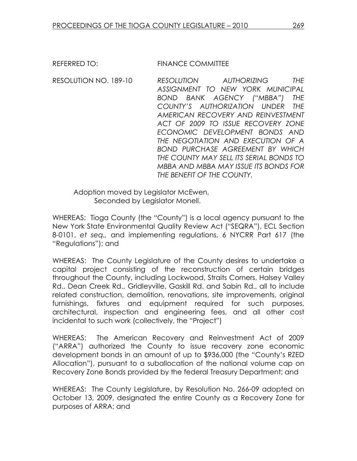REFERRED TO: FINANCE COMMITTEE

RESOLUTION NO. 189-10 RESOLUTION AUTHORIZING THE ASSIGNMENT TO NEW YORK MUNICIPAL BOND BANK AGENCY ("MBBA") THE COUNTY'S AUTHORIZATION UNDER THE AMERICAN RECOVERY AND REINVESTMENT ACT OF 2009 TO ISSUE RECOVERY ZONE ECONOMIC DEVELOPMENT BONDS AND THE NEGOTIATION AND EXECUTION OF A BOND PURCHASE AGREEMENT BY WHICH THE COUNTY MAY SELL ITS SERIAL BONDS TO MBBA AND MBBA MAY ISSUE ITS BONDS FOR THE BENEFIT OF THE COUNTY.

 Adoption moved by Legislator McEwen, Seconded by Legislator Monell.

WHEREAS: Tioga County (the "County") is a local agency pursuant to the New York State Environmental Quality Review Act ("SEQRA"), ECL Section 8-0101, et seq., and implementing regulations, 6 NYCRR Part 617 (the "Regulations"); and

WHEREAS: The County Legislature of the County desires to undertake a capital project consisting of the reconstruction of certain bridges throughout the County, including Lockwood, Straits Corners, Halsey Valley Rd., Dean Creek Rd., Gridleyville, Gaskill Rd. and Sabin Rd., all to include related construction, demolition, renovations, site improvements, original furnishings, fixtures and equipment required for such purposes, architectural, inspection and engineering fees, and all other cost incidental to such work (collectively, the "Project")

WHEREAS: The American Recovery and Reinvestment Act of 2009 ("ARRA") authorized the County to issue recovery zone economic development bonds in an amount of up to \$936,000 (the "County's RZED Allocation"), pursuant to a suballocation of the national volume cap on Recovery Zone Bonds provided by the federal Treasury Department; and

WHEREAS: The County Legislature, by Resolution No. 266-09 adopted on October 13, 2009, designated the entire County as a Recovery Zone for purposes of ARRA; and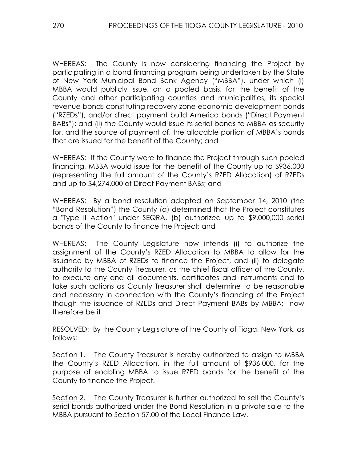WHEREAS: The County is now considering financing the Project by participating in a bond financing program being undertaken by the State of New York Municipal Bond Bank Agency ("MBBA"), under which (i) MBBA would publicly issue, on a pooled basis, for the benefit of the County and other participating counties and municipalities, its special revenue bonds constituting recovery zone economic development bonds ("RZEDs"), and/or direct payment build America bonds ("Direct Payment BABs"); and (ii) the County would issue its serial bonds to MBBA as security for, and the source of payment of, the allocable portion of MBBA's bonds that are issued for the benefit of the County; and

WHEREAS: If the County were to finance the Project through such pooled financing, MBBA would issue for the benefit of the County up to \$936,000 (representing the full amount of the County's RZED Allocation) of RZEDs and up to \$4,274,000 of Direct Payment BABs; and

WHEREAS: By a bond resolution adopted on September 14, 2010 (the "Bond Resolution") the County (a) determined that the Project constitutes a "Type II Action" under SEQRA, (b) authorized up to \$9,000,000 serial bonds of the County to finance the Project; and

WHEREAS: The County Legislature now intends (i) to authorize the assignment of the County's RZED Allocation to MBBA to allow for the issuance by MBBA of RZEDs to finance the Project, and (ii) to delegate authority to the County Treasurer, as the chief fiscal officer of the County, to execute any and all documents, certificates and instruments and to take such actions as County Treasurer shall determine to be reasonable and necessary in connection with the County's financing of the Project though the issuance of RZEDs and Direct Payment BABs by MBBA; now therefore be it

RESOLVED: By the County Legislature of the County of Tioga, New York, as follows:

Section 1. The County Treasurer is hereby authorized to assign to MBBA the County's RZED Allocation, in the full amount of \$936,000, for the purpose of enabling MBBA to issue RZED bonds for the benefit of the County to finance the Project.

Section 2. The County Treasurer is further authorized to sell the County's serial bonds authorized under the Bond Resolution in a private sale to the MBBA pursuant to Section 57.00 of the Local Finance Law.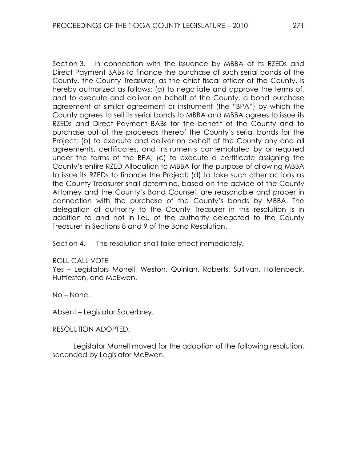Section 3. In connection with the issuance by MBBA of its RZEDs and Direct Payment BABs to finance the purchase of such serial bonds of the County, the County Treasurer, as the chief fiscal officer of the County, is hereby authorized as follows: (a) to negotiate and approve the terms of, and to execute and deliver on behalf of the County, a bond purchase agreement or similar agreement or instrument (the "BPA") by which the County agrees to sell its serial bonds to MBBA and MBBA agrees to issue its RZEDs and Direct Payment BABs for the benefit of the County and to purchase out of the proceeds thereof the County's serial bonds for the Project; (b) to execute and deliver on behalf of the County any and all agreements, certificates, and instruments contemplated by or required under the terms of the BPA; (c) to execute a certificate assigning the County's entire RZED Allocation to MBBA for the purpose of allowing MBBA to issue its RZEDs to finance the Project; (d) to take such other actions as the County Treasurer shall determine, based on the advice of the County Attorney and the County's Bond Counsel, are reasonable and proper in connection with the purchase of the County's bonds by MBBA. The delegation of authority to the County Treasurer in this resolution is in addition to and not in lieu of the authority delegated to the County Treasurer in Sections 8 and 9 of the Bond Resolution.

Section 4. This resolution shall take effect immediately.

### ROLL CALL VOTE

Yes – Legislators Monell, Weston, Quinlan, Roberts, Sullivan, Hollenbeck, Huttleston, and McEwen.

No – None.

Absent – Legislator Sauerbrey.

### RESOLUTION ADOPTED.

 Legislator Monell moved for the adoption of the following resolution, seconded by Legislator McEwen.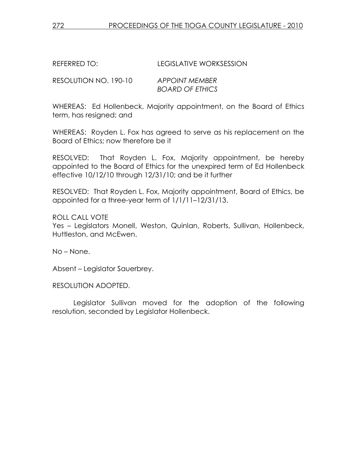REFERRED TO: LEGISLATIVE WORKSESSION

RESOLUTION NO. 190-10 APPOINT MEMBER BOARD OF ETHICS

WHEREAS: Ed Hollenbeck, Majority appointment, on the Board of Ethics term, has resigned; and

WHEREAS: Royden L. Fox has agreed to serve as his replacement on the Board of Ethics; now therefore be it

RESOLVED: That Royden L. Fox, Majority appointment, be hereby appointed to the Board of Ethics for the unexpired term of Ed Hollenbeck effective 10/12/10 through 12/31/10; and be it further

RESOLVED: That Royden L. Fox, Majority appointment, Board of Ethics, be appointed for a three-year term of 1/1/11–12/31/13.

ROLL CALL VOTE Yes – Legislators Monell, Weston, Quinlan, Roberts, Sullivan, Hollenbeck, Huttleston, and McEwen.

No – None.

Absent – Legislator Sauerbrey.

RESOLUTION ADOPTED.

 Legislator Sullivan moved for the adoption of the following resolution, seconded by Legislator Hollenbeck.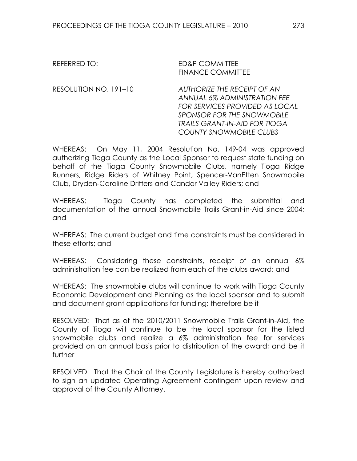REFERRED TO: ED&P COMMITTEE FINANCE COMMITTEE

RESOLUTION NO. 191–10 AUTHORIZE THE RECEIPT OF AN ANNUAL 6% ADMINISTRATION FEE FOR SERVICES PROVIDED AS LOCAL SPONSOR FOR THE SNOWMOBILE TRAILS GRANT-IN-AID FOR TIOGA COUNTY SNOWMOBILE CLUBS

WHEREAS: On May 11, 2004 Resolution No. 149-04 was approved authorizing Tioga County as the Local Sponsor to request state funding on behalf of the Tioga County Snowmobile Clubs, namely Tioga Ridge Runners, Ridge Riders of Whitney Point, Spencer-VanEtten Snowmobile Club, Dryden-Caroline Drifters and Candor Valley Riders; and

WHEREAS: Tioga County has completed the submittal and documentation of the annual Snowmobile Trails Grant-in-Aid since 2004; and

WHEREAS: The current budget and time constraints must be considered in these efforts; and

WHEREAS: Considering these constraints, receipt of an annual 6% administration fee can be realized from each of the clubs award; and

WHEREAS: The snowmobile clubs will continue to work with Tioga County Economic Development and Planning as the local sponsor and to submit and document grant applications for funding; therefore be it

RESOLVED: That as of the 2010/2011 Snowmobile Trails Grant-in-Aid, the County of Tioga will continue to be the local sponsor for the listed snowmobile clubs and realize a 6% administration fee for services provided on an annual basis prior to distribution of the award; and be it further

RESOLVED: That the Chair of the County Legislature is hereby authorized to sign an updated Operating Agreement contingent upon review and approval of the County Attorney.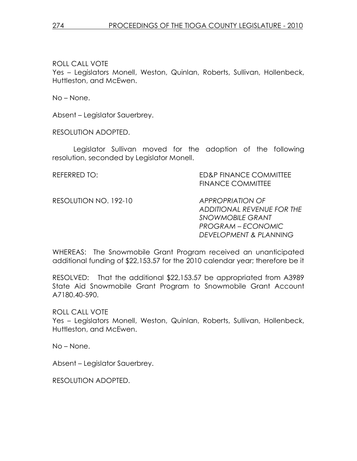ROLL CALL VOTE Yes – Legislators Monell, Weston, Quinlan, Roberts, Sullivan, Hollenbeck, Huttleston, and McEwen.

No – None.

Absent – Legislator Sauerbrey.

RESOLUTION ADOPTED.

 Legislator Sullivan moved for the adoption of the following resolution, seconded by Legislator Monell.

REFERRED TO: THE STATE SECTION OF THE SEDAP FINANCE COMMITTEE FINANCE COMMITTEE

RESOLUTION NO. 192-10 APPROPRIATION OF

ADDITIONAL REVENUE FOR THE SNOWMOBILE GRANT PROGRAM – ECONOMIC DEVELOPMENT & PLANNING

WHEREAS: The Snowmobile Grant Program received an unanticipated additional funding of \$22,153.57 for the 2010 calendar year; therefore be it

RESOLVED: That the additional \$22,153.57 be appropriated from A3989 State Aid Snowmobile Grant Program to Snowmobile Grant Account A7180.40-590.

ROLL CALL VOTE Yes – Legislators Monell, Weston, Quinlan, Roberts, Sullivan, Hollenbeck, Huttleston, and McEwen.

No – None.

Absent – Legislator Sauerbrey.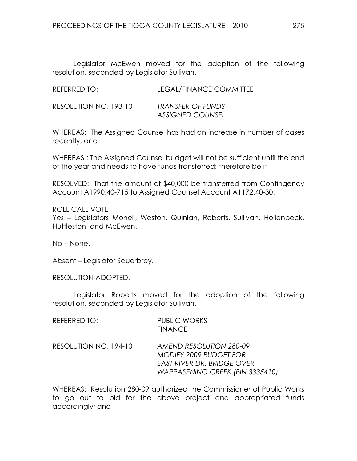Legislator McEwen moved for the adoption of the following resolution, seconded by Legislator Sullivan.

| REFERRED TO: | LEGAL/FINANCE COMMITTEE |
|--------------|-------------------------|
|              |                         |

| RESOLUTION NO. 193-10 | <b>TRANSFER OF FUNDS</b> |
|-----------------------|--------------------------|
|                       | <b>ASSIGNED COUNSEL</b>  |

WHEREAS: The Assigned Counsel has had an increase in number of cases recently; and

WHEREAS : The Assigned Counsel budget will not be sufficient until the end of the year and needs to have funds transferred; therefore be it

RESOLVED: That the amount of \$40,000 be transferred from Contingency Account A1990.40-715 to Assigned Counsel Account A1172.40-30.

ROLL CALL VOTE Yes – Legislators Monell, Weston, Quinlan, Roberts, Sullivan, Hollenbeck, Huttleston, and McEwen.

No – None.

Absent – Legislator Sauerbrey.

RESOLUTION ADOPTED.

 Legislator Roberts moved for the adoption of the following resolution, seconded by Legislator Sullivan.

| REFERRED TO:          | <b>PUBLIC WORKS</b><br><b>FINANCE</b>                                                                                     |
|-----------------------|---------------------------------------------------------------------------------------------------------------------------|
| RESOLUTION NO. 194-10 | AMEND RESOLUTION 280-09<br><b>MODIFY 2009 BUDGET FOR</b><br>EAST RIVER DR. BRIDGE OVER<br>WAPPASENING CREEK (BIN 3335410) |

WHEREAS: Resolution 280-09 authorized the Commissioner of Public Works to go out to bid for the above project and appropriated funds accordingly; and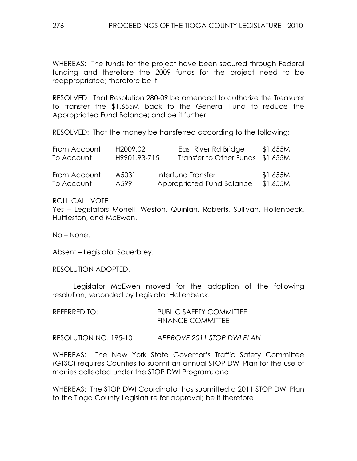WHEREAS: The funds for the project have been secured through Federal funding and therefore the 2009 funds for the project need to be reappropriated; therefore be it

RESOLVED: That Resolution 280-09 be amended to authorize the Treasurer to transfer the \$1.655M back to the General Fund to reduce the Appropriated Fund Balance; and be it further

RESOLVED: That the money be transferred according to the following:

| From Account | H2009.02     | East River Rd Bridge             | \$1.655M |
|--------------|--------------|----------------------------------|----------|
| To Account   | H9901.93-715 | Transfer to Other Funds \$1.655M |          |
| From Account | A5031        | Interfund Transfer               | \$1.655M |
| To Account   | A599         | Appropriated Fund Balance        | \$1.655M |

### ROLL CALL VOTE

Yes – Legislators Monell, Weston, Quinlan, Roberts, Sullivan, Hollenbeck, Huttleston, and McEwen.

No – None.

Absent – Legislator Sauerbrey.

RESOLUTION ADOPTED.

 Legislator McEwen moved for the adoption of the following resolution, seconded by Legislator Hollenbeck.

| REFERRED TO: | <b>PUBLIC SAFETY COMMITTEE</b> |
|--------------|--------------------------------|
|              | <b>FINANCE COMMITTEE</b>       |
|              |                                |

RESOLUTION NO. 195-10 APPROVE 2011 STOP DWI PLAN

WHEREAS: The New York State Governor's Traffic Safety Committee (GTSC) requires Counties to submit an annual STOP DWI Plan for the use of monies collected under the STOP DWI Program; and

WHEREAS: The STOP DWI Coordinator has submitted a 2011 STOP DWI Plan to the Tioga County Legislature for approval; be it therefore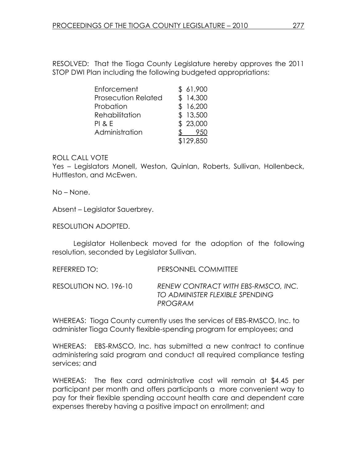RESOLVED: That the Tioga County Legislature hereby approves the 2011 STOP DWI Plan including the following budgeted appropriations:

| Enforcement                | \$61,900  |
|----------------------------|-----------|
| <b>Prosecution Related</b> | \$14,300  |
| Probation                  | \$16,200  |
| Rehabilitation             | \$13,500  |
| PI & E                     | \$23,000  |
| Administration             | 950       |
|                            | \$129,850 |

### ROLL CALL VOTE

Yes – Legislators Monell, Weston, Quinlan, Roberts, Sullivan, Hollenbeck, Huttleston, and McEwen.

No – None.

Absent – Legislator Sauerbrey.

RESOLUTION ADOPTED.

 Legislator Hollenbeck moved for the adoption of the following resolution, seconded by Legislator Sullivan.

REFERRED TO: PERSONNEL COMMITTEE

RESOLUTION NO. 196-10 RENEW CONTRACT WITH EBS-RMSCO, INC. TO ADMINISTER FLEXIBLE SPENDING PROGRAM

WHEREAS: Tioga County currently uses the services of EBS-RMSCO, Inc. to administer Tioga County flexible-spending program for employees; and

WHEREAS: EBS-RMSCO, Inc. has submitted a new contract to continue administering said program and conduct all required compliance testing services; and

WHEREAS: The flex card administrative cost will remain at \$4.45 per participant per month and offers participants a more convenient way to pay for their flexible spending account health care and dependent care expenses thereby having a positive impact on enrollment; and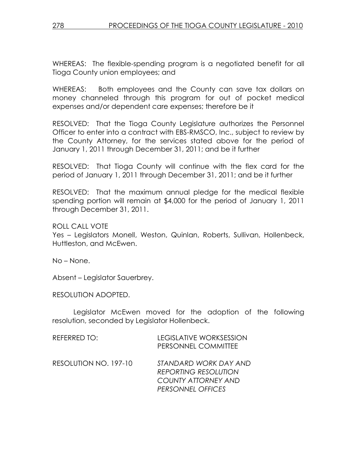WHEREAS: The flexible-spending program is a negotiated benefit for all Tioga County union employees; and

WHEREAS: Both employees and the County can save tax dollars on money channeled through this program for out of pocket medical expenses and/or dependent care expenses; therefore be it

RESOLVED: That the Tioga County Legislature authorizes the Personnel Officer to enter into a contract with EBS-RMSCO, Inc., subject to review by the County Attorney, for the services stated above for the period of January 1, 2011 through December 31, 2011; and be it further

RESOLVED: That Tioga County will continue with the flex card for the period of January 1, 2011 through December 31, 2011; and be it further

RESOLVED: That the maximum annual pledge for the medical flexible spending portion will remain at \$4,000 for the period of January 1, 2011 through December 31, 2011.

ROLL CALL VOTE

Yes – Legislators Monell, Weston, Quinlan, Roberts, Sullivan, Hollenbeck, Huttleston, and McEwen.

No – None.

Absent – Legislator Sauerbrey.

RESOLUTION ADOPTED.

 Legislator McEwen moved for the adoption of the following resolution, seconded by Legislator Hollenbeck.

| REFERRED TO:          | <b>LEGISLATIVE WORKSESSION</b><br>PERSONNEL COMMITTEE                                                   |
|-----------------------|---------------------------------------------------------------------------------------------------------|
| RESOLUTION NO. 197-10 | STANDARD WORK DAY AND<br><b>REPORTING RESOLUTION</b><br><b>COUNTY ATTORNEY AND</b><br>PERSONNEL OFFICES |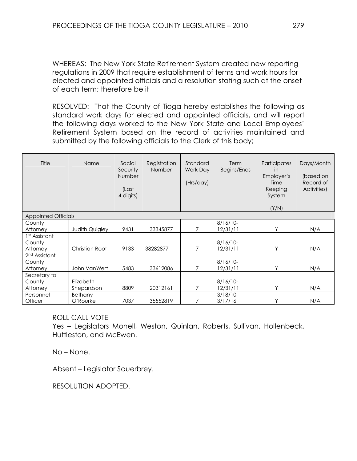WHEREAS: The New York State Retirement System created new reporting regulations in 2009 that require establishment of terms and work hours for elected and appointed officials and a resolution stating such at the onset of each term; therefore be it

RESOLVED: That the County of Tioga hereby establishes the following as standard work days for elected and appointed officials, and will report the following days worked to the New York State and Local Employees' Retirement System based on the record of activities maintained and submitted by the following officials to the Clerk of this body;

| Title                      | <b>Name</b>             | Social<br>Security<br><b>Number</b><br>(Last<br>4 digits) | Registration<br><b>Number</b> | Standard<br>Work Day<br>(Hrs/day) | Term<br>Begins/Ends    | Participates<br>in<br>Employer's<br>Time<br>Keeping<br>System<br>(Y/N) | Days/Month<br>(based on<br>Record of<br>Activities) |
|----------------------------|-------------------------|-----------------------------------------------------------|-------------------------------|-----------------------------------|------------------------|------------------------------------------------------------------------|-----------------------------------------------------|
| <b>Appointed Officials</b> |                         |                                                           |                               |                                   |                        |                                                                        |                                                     |
| County<br>Attorney         | Judith Quigley          | 9431                                                      | 33345877                      | 7                                 | $8/16/10-$<br>12/31/11 | Υ                                                                      | N/A                                                 |
| 1 <sup>st</sup> Assistant  |                         |                                                           |                               |                                   |                        |                                                                        |                                                     |
| County<br>Attorney         | Christian Root          | 9133                                                      | 38282877                      | 7                                 | $8/16/10-$<br>12/31/11 | Υ                                                                      | N/A                                                 |
| 2 <sup>nd</sup> Assistant  |                         |                                                           |                               |                                   |                        |                                                                        |                                                     |
| County<br>Attorney         | John VanWert            | 5483                                                      | 33612086                      | 7                                 | $8/16/10-$<br>12/31/11 | Υ                                                                      | N/A                                                 |
| Secretary to               |                         |                                                           |                               |                                   |                        |                                                                        |                                                     |
| County<br>Attorney         | Elizabeth<br>Shepardson | 8809                                                      | 20312161                      | 7                                 | 8/16/10-<br>12/31/11   | Y                                                                      | N/A                                                 |
| Personnel<br>Officer       | Bethany<br>O'Rourke     | 7037                                                      | 35552819                      |                                   | $3/18/10-$<br>3/17/16  | Υ                                                                      | N/A                                                 |

ROLL CALL VOTE

Yes – Legislators Monell, Weston, Quinlan, Roberts, Sullivan, Hollenbeck, Huttleston, and McEwen.

No – None.

Absent – Legislator Sauerbrey.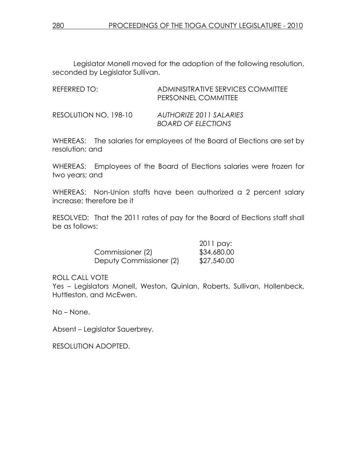Legislator Monell moved for the adoption of the following resolution, seconded by Legislator Sullivan.

| REFERRED TO:          | ADMINISITRATIVE SERVICES COMMITTEE<br>PERSONNEL COMMITTEE |
|-----------------------|-----------------------------------------------------------|
| RESOLUTION NO. 198-10 | AUTHORIZE 2011 SALARIES<br><b>BOARD OF ELECTIONS</b>      |

WHEREAS: The salaries for employees of the Board of Elections are set by resolution; and

WHEREAS: Employees of the Board of Elections salaries were frozen for two years; and

WHEREAS: Non-Union staffs have been authorized a 2 percent salary increase; therefore be it

RESOLVED: That the 2011 rates of pay for the Board of Elections staff shall be as follows:

|                         | 2011 pay:   |
|-------------------------|-------------|
| Commissioner (2)        | \$34,680.00 |
| Deputy Commissioner (2) | \$27,540.00 |

### ROLL CALL VOTE

Yes – Legislators Monell, Weston, Quinlan, Roberts, Sullivan, Hollenbeck, Huttleston, and McEwen.

No – None.

Absent – Legislator Sauerbrey.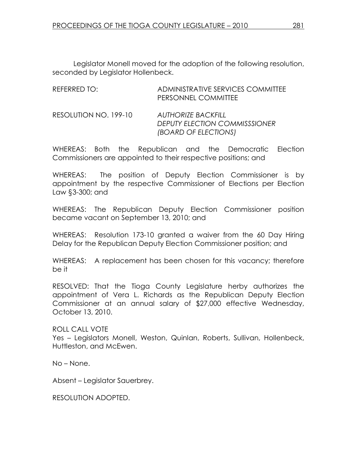Legislator Monell moved for the adoption of the following resolution, seconded by Legislator Hollenbeck.

| REFERRED TO:          | ADMINISTRATIVE SERVICES COMMITTEE<br>PERSONNEL COMMITTEE                           |
|-----------------------|------------------------------------------------------------------------------------|
| RESOLUTION NO. 199-10 | AUTHORIZE BACKFILL<br><b>DEPUTY ELECTION COMMISSSIONER</b><br>(BOARD OF ELECTIONS) |

WHEREAS: Both the Republican and the Democratic Election Commissioners are appointed to their respective positions; and

WHEREAS: The position of Deputy Election Commissioner is by appointment by the respective Commissioner of Elections per Election Law §3-300; and

WHEREAS: The Republican Deputy Election Commissioner position became vacant on September 13, 2010; and

WHEREAS: Resolution 173-10 granted a waiver from the 60 Day Hiring Delay for the Republican Deputy Election Commissioner position; and

WHEREAS: A replacement has been chosen for this vacancy; therefore be it

RESOLVED: That the Tioga County Legislature herby authorizes the appointment of Vera L. Richards as the Republican Deputy Election Commissioner at an annual salary of \$27,000 effective Wednesday, October 13, 2010.

ROLL CALL VOTE Yes – Legislators Monell, Weston, Quinlan, Roberts, Sullivan, Hollenbeck, Huttleston, and McEwen.

No – None.

Absent – Legislator Sauerbrey.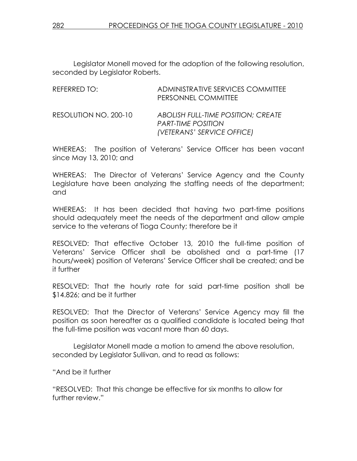Legislator Monell moved for the adoption of the following resolution, seconded by Legislator Roberts.

| REFERRED TO:          | ADMINISTRATIVE SERVICES COMMITTEE<br>PERSONNEL COMMITTEE                                             |
|-----------------------|------------------------------------------------------------------------------------------------------|
| RESOLUTION NO. 200-10 | <b>ABOLISH FULL-TIME POSITION; CREATE</b><br><b>PART-TIME POSITION</b><br>(VETERANS' SERVICE OFFICE) |

WHEREAS: The position of Veterans' Service Officer has been vacant since May 13, 2010; and

WHEREAS: The Director of Veterans' Service Agency and the County Legislature have been analyzing the staffing needs of the department; and

WHEREAS: It has been decided that having two part-time positions should adequately meet the needs of the department and allow ample service to the veterans of Tioga County; therefore be it

RESOLVED: That effective October 13, 2010 the full-time position of Veterans' Service Officer shall be abolished and a part-time (17 hours/week) position of Veterans' Service Officer shall be created; and be it further

RESOLVED: That the hourly rate for said part-time position shall be \$14.826; and be it further

RESOLVED: That the Director of Veterans' Service Agency may fill the position as soon hereafter as a qualified candidate is located being that the full-time position was vacant more than 60 days.

 Legislator Monell made a motion to amend the above resolution, seconded by Legislator Sullivan, and to read as follows:

"And be it further

"RESOLVED: That this change be effective for six months to allow for further review."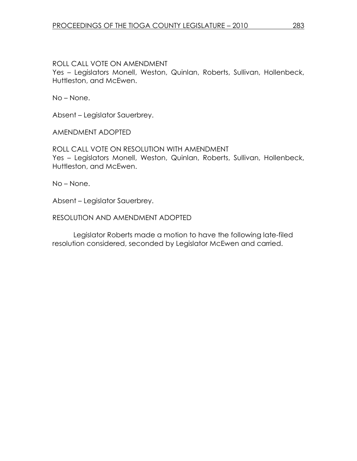### ROLL CALL VOTE ON AMENDMENT

Yes – Legislators Monell, Weston, Quinlan, Roberts, Sullivan, Hollenbeck, Huttleston, and McEwen.

No – None.

Absent – Legislator Sauerbrey.

AMENDMENT ADOPTED

ROLL CALL VOTE ON RESOLUTION WITH AMENDMENT Yes – Legislators Monell, Weston, Quinlan, Roberts, Sullivan, Hollenbeck, Huttleston, and McEwen.

No – None.

Absent – Legislator Sauerbrey.

RESOLUTION AND AMENDMENT ADOPTED

 Legislator Roberts made a motion to have the following late-filed resolution considered, seconded by Legislator McEwen and carried.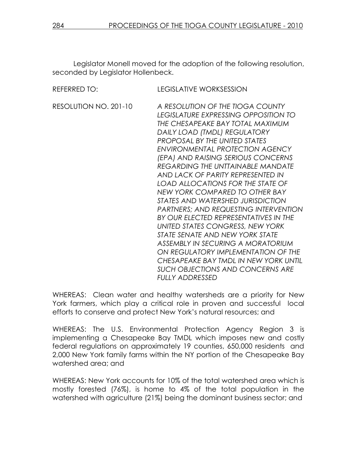Legislator Monell moved for the adoption of the following resolution, seconded by Legislator Hollenbeck.

| <b>REFERRED TO:</b>   | <b>LEGISLATIVE WORKSESSION</b>                                                                                                                                                                                                                                                                                                                                                                                                                                                                                                                                                                                                                                         |
|-----------------------|------------------------------------------------------------------------------------------------------------------------------------------------------------------------------------------------------------------------------------------------------------------------------------------------------------------------------------------------------------------------------------------------------------------------------------------------------------------------------------------------------------------------------------------------------------------------------------------------------------------------------------------------------------------------|
| RESOLUTION NO. 201-10 | A RESOLUTION OF THE TIOGA COUNTY<br>LEGISLATURE EXPRESSING OPPOSITION TO<br>THE CHESAPEAKE BAY TOTAL MAXIMUM<br>DAILY LOAD (TMDL) REGULATORY<br>PROPOSAL BY THE UNITED STATES<br>ENVIRONMENTAL PROTECTION AGENCY<br>(EPA) AND RAISING SERIOUS CONCERNS<br><b>REGARDING THE UNTTAINABLE MANDATE</b><br>AND LACK OF PARITY REPRESENTED IN<br><b>LOAD ALLOCATIONS FOR THE STATE OF</b><br>NEW YORK COMPARED TO OTHER BAY<br>STATES AND WATERSHED JURISDICTION<br><b>PARTNERS; AND REQUESTING INTERVENTION</b><br>BY OUR ELECTED REPRESENTATIVES IN THE<br>UNITED STATES CONGRESS, NEW YORK<br><i>STATE SENATE AND NEW YORK STATE</i><br>ASSEMBLY IN SECURING A MORATORIUM |
|                       | ON REGULATORY IMPLEMENTATION OF THE<br>CHESAPEAKE BAY TMDL IN NEW YORK UNTIL                                                                                                                                                                                                                                                                                                                                                                                                                                                                                                                                                                                           |
|                       | <b>SUCH OBJECTIONS AND CONCERNS ARE</b><br><b>FULLY ADDRESSED</b>                                                                                                                                                                                                                                                                                                                                                                                                                                                                                                                                                                                                      |

WHEREAS: Clean water and healthy watersheds are a priority for New York farmers, which play a critical role in proven and successful local efforts to conserve and protect New York's natural resources; and

WHEREAS: The U.S. Environmental Protection Agency Region 3 is implementing a Chesapeake Bay TMDL which imposes new and costly federal regulations on approximately 19 counties, 650,000 residents and 2,000 New York family farms within the NY portion of the Chesapeake Bay watershed area; and

WHEREAS: New York accounts for 10% of the total watershed area which is mostly forested (76%), is home to 4% of the total population in the watershed with agriculture (21%) being the dominant business sector; and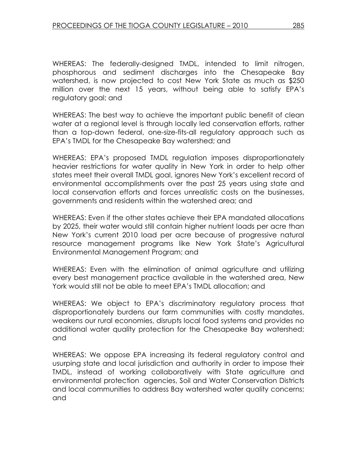WHEREAS: The federally-designed TMDL, intended to limit nitrogen, phosphorous and sediment discharges into the Chesapeake Bay watershed, is now projected to cost New York State as much as \$250 million over the next 15 years, without being able to satisfy EPA's regulatory goal; and

WHEREAS: The best way to achieve the important public benefit of clean water at a regional level is through locally led conservation efforts, rather than a top-down federal, one-size-fits-all regulatory approach such as EPA's TMDL for the Chesapeake Bay watershed; and

WHEREAS: EPA's proposed TMDL regulation imposes disproportionately heavier restrictions for water quality in New York in order to help other states meet their overall TMDL goal, ignores New York's excellent record of environmental accomplishments over the past 25 years using state and local conservation efforts and forces unrealistic costs on the businesses, governments and residents within the watershed area; and

WHEREAS: Even if the other states achieve their EPA mandated allocations by 2025, their water would still contain higher nutrient loads per acre than New York's current 2010 load per acre because of progressive natural resource management programs like New York State's Agricultural Environmental Management Program; and

WHEREAS: Even with the elimination of animal agriculture and utilizing every best management practice available in the watershed area, New York would still not be able to meet EPA's TMDL allocation; and

WHEREAS: We object to EPA's discriminatory regulatory process that disproportionately burdens our farm communities with costly mandates, weakens our rural economies, disrupts local food systems and provides no additional water quality protection for the Chesapeake Bay watershed; and

WHEREAS: We oppose EPA increasing its federal regulatory control and usurping state and local jurisdiction and authority in order to impose their TMDL, instead of working collaboratively with State agriculture and environmental protection agencies, Soil and Water Conservation Districts and local communities to address Bay watershed water quality concerns; and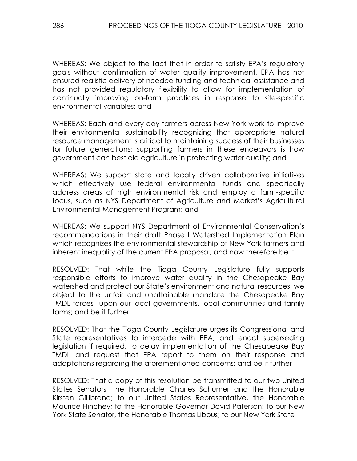WHEREAS: We object to the fact that in order to satisfy EPA's regulatory goals without confirmation of water quality improvement, EPA has not ensured realistic delivery of needed funding and technical assistance and has not provided regulatory flexibility to allow for implementation of continually improving on-farm practices in response to site-specific environmental variables; and

WHEREAS: Each and every day farmers across New York work to improve their environmental sustainability recognizing that appropriate natural resource management is critical to maintaining success of their businesses for future generations; supporting farmers in these endeavors is how government can best aid agriculture in protecting water quality; and

WHEREAS: We support state and locally driven collaborative initiatives which effectively use federal environmental funds and specifically address areas of high environmental risk and employ a farm-specific focus, such as NYS Department of Agriculture and Market's Agricultural Environmental Management Program; and

WHEREAS: We support NYS Department of Environmental Conservation's recommendations in their draft Phase I Watershed Implementation Plan which recognizes the environmental stewardship of New York farmers and inherent inequality of the current EPA proposal; and now therefore be it

RESOLVED: That while the Tioga County Legislature fully supports responsible efforts to improve water quality in the Chesapeake Bay watershed and protect our State's environment and natural resources, we object to the unfair and unattainable mandate the Chesapeake Bay TMDL forces upon our local governments, local communities and family farms; and be it further

RESOLVED: That the Tioga County Legislature urges its Congressional and State representatives to intercede with EPA, and enact superseding legislation if required, to delay implementation of the Chesapeake Bay TMDL and request that EPA report to them on their response and adaptations regarding the aforementioned concerns; and be it further

RESOLVED: That a copy of this resolution be transmitted to our two United States Senators, the Honorable Charles Schumer and the Honorable Kirsten Gillibrand; to our United States Representative, the Honorable Maurice Hinchey; to the Honorable Governor David Paterson; to our New York State Senator, the Honorable Thomas Libous; to our New York State